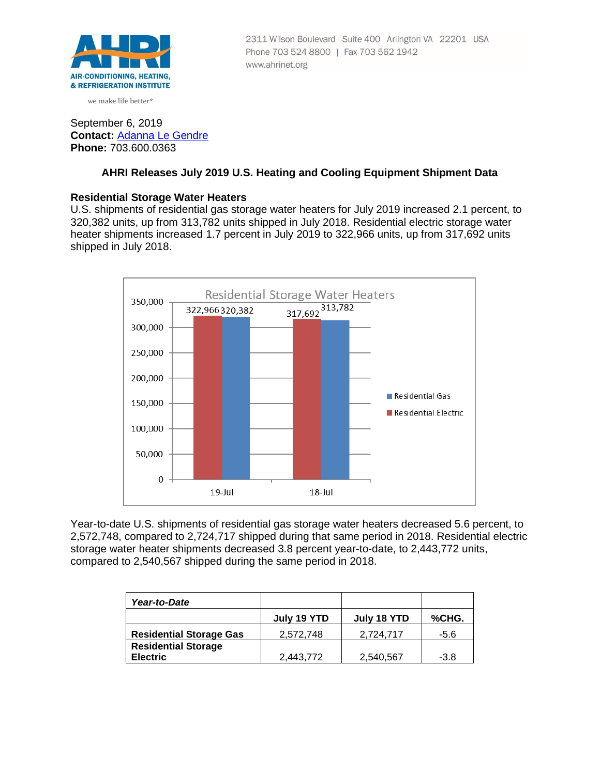

we make life better<sup>®</sup>

## 2311 Wilson Boulevard Suite 400 Arlington VA 22201 USA Phone 703 524 8800 | Fax 703 562 1942 www.ahrinet.org

# September 6, 2019 **Contact:** [Adanna Le Gendre](mailto:AleGendre@ahrinet.org) **Phone:** 703.600.0363

# **AHRI Releases July 2019 U.S. Heating and Cooling Equipment Shipment Data**

# **Residential Storage Water Heaters**

U.S. shipments of residential gas storage water heaters for July 2019 increased 2.1 percent, to 320,382 units, up from 313,782 units shipped in July 2018. Residential electric storage water heater shipments increased 1.7 percent in July 2019 to 322,966 units, up from 317,692 units shipped in July 2018.



Year-to-date U.S. shipments of residential gas storage water heaters decreased 5.6 percent, to 2,572,748, compared to 2,724,717 shipped during that same period in 2018. Residential electric storage water heater shipments decreased 3.8 percent year-to-date, to 2,443,772 units, compared to 2,540,567 shipped during the same period in 2018.

| Year-to-Date                                  |             |             |       |
|-----------------------------------------------|-------------|-------------|-------|
|                                               | July 19 YTD | July 18 YTD | %CHG. |
| <b>Residential Storage Gas</b>                | 2,572,748   | 2,724,717   | -5.6  |
| <b>Residential Storage</b><br><b>Electric</b> | 2,443,772   | 2,540,567   | -3.8  |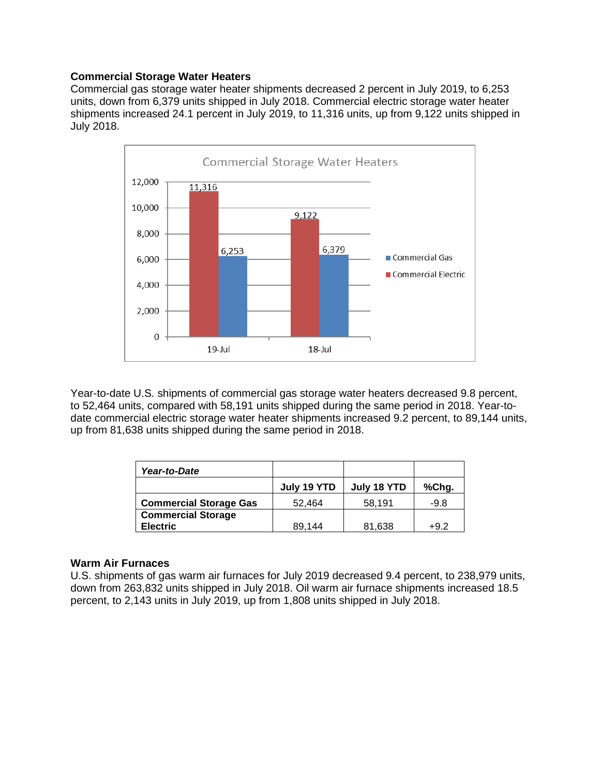### **Commercial Storage Water Heaters**

Commercial gas storage water heater shipments decreased 2 percent in July 2019, to 6,253 units, down from 6,379 units shipped in July 2018. Commercial electric storage water heater shipments increased 24.1 percent in July 2019, to 11,316 units, up from 9,122 units shipped in July 2018.



Year-to-date U.S. shipments of commercial gas storage water heaters decreased 9.8 percent, to 52,464 units, compared with 58,191 units shipped during the same period in 2018. Year-todate commercial electric storage water heater shipments increased 9.2 percent, to 89,144 units, up from 81,638 units shipped during the same period in 2018.

| Year-to-Date                  |             |             |        |
|-------------------------------|-------------|-------------|--------|
|                               | July 19 YTD | July 18 YTD | %Chg.  |
| <b>Commercial Storage Gas</b> | 52.464      | 58,191      | $-9.8$ |
| <b>Commercial Storage</b>     |             |             |        |
| <b>Electric</b>               | 89.144      | 81,638      | +9.2   |

#### **Warm Air Furnaces**

U.S. shipments of gas warm air furnaces for July 2019 decreased 9.4 percent, to 238,979 units, down from 263,832 units shipped in July 2018. Oil warm air furnace shipments increased 18.5 percent, to 2,143 units in July 2019, up from 1,808 units shipped in July 2018.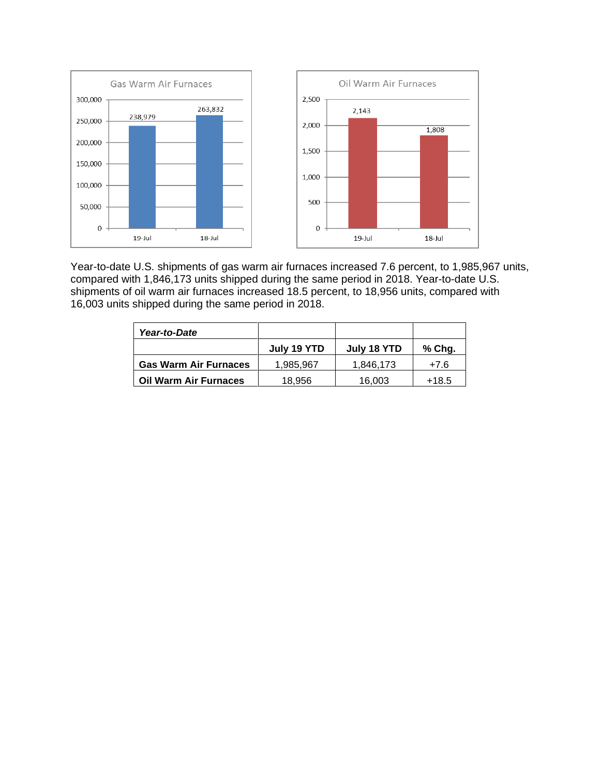

Year-to-date U.S. shipments of gas warm air furnaces increased 7.6 percent, to 1,985,967 units, compared with 1,846,173 units shipped during the same period in 2018. Year-to-date U.S. shipments of oil warm air furnaces increased 18.5 percent, to 18,956 units, compared with 16,003 units shipped during the same period in 2018.

| Year-to-Date                 |             |             |         |
|------------------------------|-------------|-------------|---------|
|                              | July 19 YTD | July 18 YTD | % Chg.  |
| <b>Gas Warm Air Furnaces</b> | 1.985.967   | 1.846.173   | $+7.6$  |
| <b>Oil Warm Air Furnaces</b> | 18,956      | 16,003      | $+18.5$ |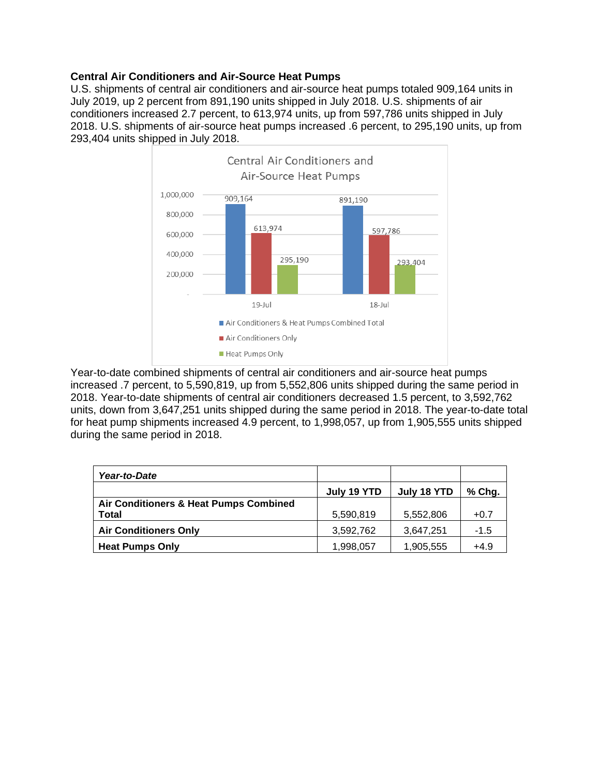# **Central Air Conditioners and Air-Source Heat Pumps**

U.S. shipments of central air conditioners and air-source heat pumps totaled 909,164 units in July 2019, up 2 percent from 891,190 units shipped in July 2018. U.S. shipments of air conditioners increased 2.7 percent, to 613,974 units, up from 597,786 units shipped in July 2018. U.S. shipments of air-source heat pumps increased .6 percent, to 295,190 units, up from 293,404 units shipped in July 2018.



Year-to-date combined shipments of central air conditioners and air-source heat pumps increased .7 percent, to 5,590,819, up from 5,552,806 units shipped during the same period in 2018. Year-to-date shipments of central air conditioners decreased 1.5 percent, to 3,592,762 units, down from 3,647,251 units shipped during the same period in 2018. The year-to-date total for heat pump shipments increased 4.9 percent, to 1,998,057, up from 1,905,555 units shipped during the same period in 2018.

| Year-to-Date                           |             |             |          |
|----------------------------------------|-------------|-------------|----------|
|                                        | July 19 YTD | July 18 YTD | $%$ Chg. |
| Air Conditioners & Heat Pumps Combined |             |             |          |
| <b>Total</b>                           | 5,590,819   | 5,552,806   | $+0.7$   |
| <b>Air Conditioners Only</b>           | 3,592,762   | 3,647,251   | $-1.5$   |
| <b>Heat Pumps Only</b>                 | 1,998,057   | 1,905,555   | $+4.9$   |